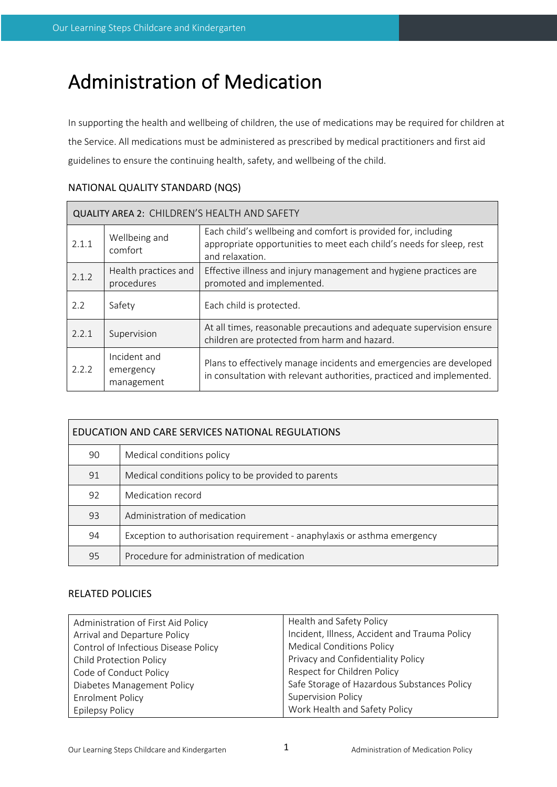# Administration of Medication

In supporting the health and wellbeing of children, the use of medications may be required for children at the Service. All medications must be administered as prescribed by medical practitioners and first aid guidelines to ensure the continuing health, safety, and wellbeing of the child.

| QUALITY AREA 2: CHILDREN'S HEALTH AND SAFETY |                                         |                                                                                                                                                          |  |  |  |
|----------------------------------------------|-----------------------------------------|----------------------------------------------------------------------------------------------------------------------------------------------------------|--|--|--|
| 2.1.1                                        | Wellbeing and<br>comfort                | Each child's wellbeing and comfort is provided for, including<br>appropriate opportunities to meet each child's needs for sleep, rest<br>and relaxation. |  |  |  |
| 2.1.2                                        | Health practices and<br>procedures      | Effective illness and injury management and hygiene practices are<br>promoted and implemented.                                                           |  |  |  |
| 2.2                                          | Safety                                  | Each child is protected.                                                                                                                                 |  |  |  |
| 2.2.1                                        | Supervision                             | At all times, reasonable precautions and adequate supervision ensure<br>children are protected from harm and hazard.                                     |  |  |  |
| 2.2.2                                        | Incident and<br>emergency<br>management | Plans to effectively manage incidents and emergencies are developed<br>in consultation with relevant authorities, practiced and implemented.             |  |  |  |

# NATIONAL QUALITY STANDARD (NQS)

| EDUCATION AND CARE SERVICES NATIONAL REGULATIONS |                                                                          |  |  |  |  |
|--------------------------------------------------|--------------------------------------------------------------------------|--|--|--|--|
| 90                                               | Medical conditions policy                                                |  |  |  |  |
| 91                                               | Medical conditions policy to be provided to parents                      |  |  |  |  |
| 92                                               | Medication record                                                        |  |  |  |  |
| 93                                               | Administration of medication                                             |  |  |  |  |
| 94                                               | Exception to authorisation requirement - anaphylaxis or asthma emergency |  |  |  |  |
| 95                                               | Procedure for administration of medication                               |  |  |  |  |

# RELATED POLICIES

| Administration of First Aid Policy   | Health and Safety Policy                      |  |
|--------------------------------------|-----------------------------------------------|--|
| Arrival and Departure Policy         | Incident, Illness, Accident and Trauma Policy |  |
| Control of Infectious Disease Policy | <b>Medical Conditions Policy</b>              |  |
| <b>Child Protection Policy</b>       | Privacy and Confidentiality Policy            |  |
| Code of Conduct Policy               | Respect for Children Policy                   |  |
| Diabetes Management Policy           | Safe Storage of Hazardous Substances Policy   |  |
| <b>Enrolment Policy</b>              | <b>Supervision Policy</b>                     |  |
| Epilepsy Policy                      | Work Health and Safety Policy                 |  |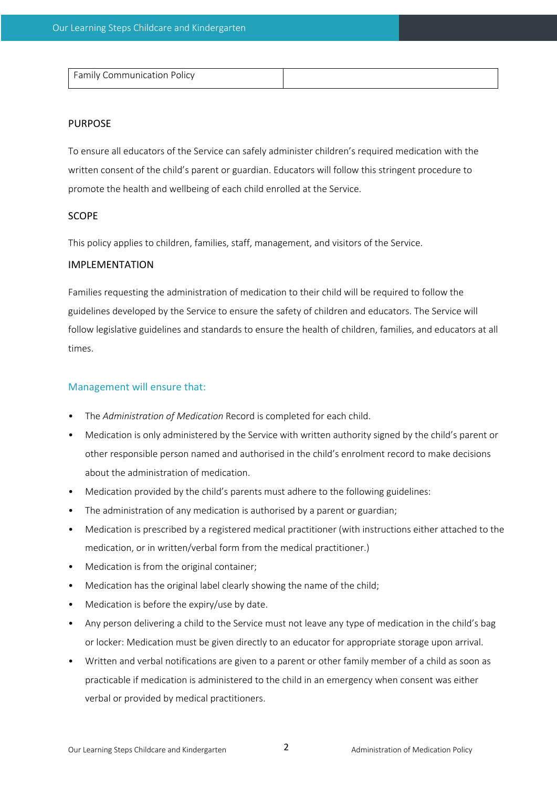| L Family Communication Policy |  |
|-------------------------------|--|

# PURPOSE

To ensure all educators of the Service can safely administer children's required medication with the written consent of the child's parent or guardian. Educators will follow this stringent procedure to promote the health and wellbeing of each child enrolled at the Service.

# SCOPE

This policy applies to children, families, staff, management, and visitors of the Service.

# IMPLEMENTATION

Families requesting the administration of medication to their child will be required to follow the guidelines developed by the Service to ensure the safety of children and educators. The Service will follow legislative guidelines and standards to ensure the health of children, families, and educators at all times.

# Management will ensure that:

- The *Administration of Medication* Record is completed for each child.
- Medication is only administered by the Service with written authority signed by the child's parent or other responsible person named and authorised in the child's enrolment record to make decisions about the administration of medication.
- Medication provided by the child's parents must adhere to the following guidelines:
- The administration of any medication is authorised by a parent or guardian;
- Medication is prescribed by a registered medical practitioner (with instructions either attached to the medication, or in written/verbal form from the medical practitioner.)
- Medication is from the original container;
- Medication has the original label clearly showing the name of the child;
- Medication is before the expiry/use by date.
- Any person delivering a child to the Service must not leave any type of medication in the child's bag or locker: Medication must be given directly to an educator for appropriate storage upon arrival.
- Written and verbal notifications are given to a parent or other family member of a child as soon as practicable if medication is administered to the child in an emergency when consent was either verbal or provided by medical practitioners.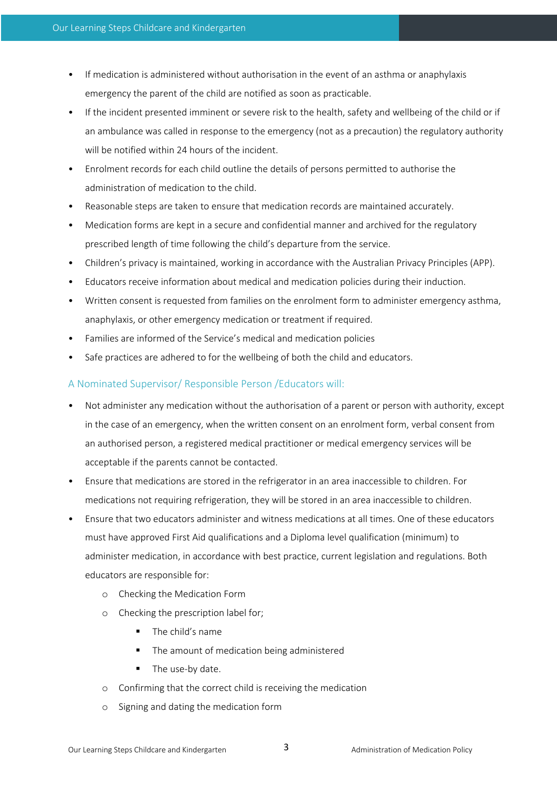- If medication is administered without authorisation in the event of an asthma or anaphylaxis emergency the parent of the child are notified as soon as practicable.
- If the incident presented imminent or severe risk to the health, safety and wellbeing of the child or if an ambulance was called in response to the emergency (not as a precaution) the regulatory authority will be notified within 24 hours of the incident.
- Enrolment records for each child outline the details of persons permitted to authorise the administration of medication to the child.
- Reasonable steps are taken to ensure that medication records are maintained accurately.
- Medication forms are kept in a secure and confidential manner and archived for the regulatory prescribed length of time following the child's departure from the service.
- Children's privacy is maintained, working in accordance with the Australian Privacy Principles (APP).
- Educators receive information about medical and medication policies during their induction.
- Written consent is requested from families on the enrolment form to administer emergency asthma, anaphylaxis, or other emergency medication or treatment if required.
- Families are informed of the Service's medical and medication policies
- Safe practices are adhered to for the wellbeing of both the child and educators.

# A Nominated Supervisor/ Responsible Person /Educators will:

- Not administer any medication without the authorisation of a parent or person with authority, except in the case of an emergency, when the written consent on an enrolment form, verbal consent from an authorised person, a registered medical practitioner or medical emergency services will be acceptable if the parents cannot be contacted.
- Ensure that medications are stored in the refrigerator in an area inaccessible to children. For medications not requiring refrigeration, they will be stored in an area inaccessible to children.
- Ensure that two educators administer and witness medications at all times. One of these educators must have approved First Aid qualifications and a Diploma level qualification (minimum) to administer medication, in accordance with best practice, current legislation and regulations. Both educators are responsible for:
	- o Checking the Medication Form
	- o Checking the prescription label for;
		- § The child's name
		- The amount of medication being administered
		- **The use-by date.**
	- o Confirming that the correct child is receiving the medication
	- Signing and dating the medication form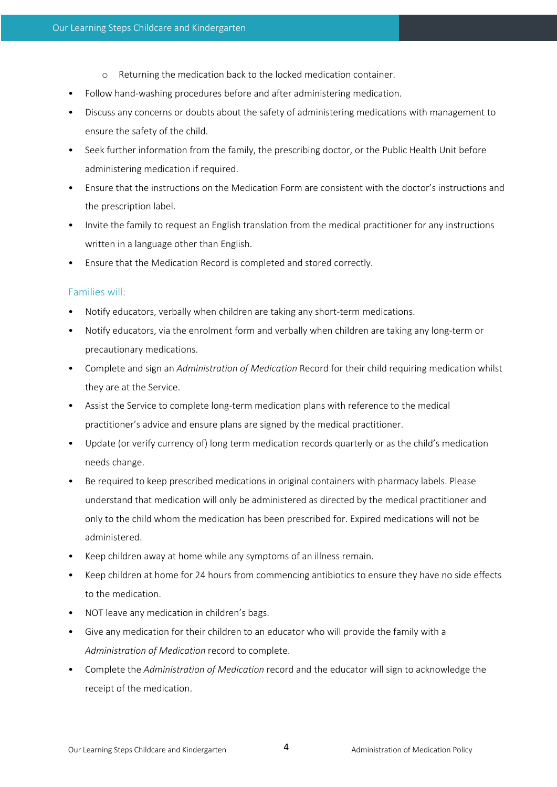- o Returning the medication back to the locked medication container.
- Follow hand-washing procedures before and after administering medication.
- Discuss any concerns or doubts about the safety of administering medications with management to ensure the safety of the child.
- Seek further information from the family, the prescribing doctor, or the Public Health Unit before administering medication if required.
- Ensure that the instructions on the Medication Form are consistent with the doctor's instructions and the prescription label.
- Invite the family to request an English translation from the medical practitioner for any instructions written in a language other than English.
- Ensure that the Medication Record is completed and stored correctly.

#### Families will:

- Notify educators, verbally when children are taking any short-term medications.
- Notify educators, via the enrolment form and verbally when children are taking any long-term or precautionary medications.
- Complete and sign an *Administration of Medication* Record for their child requiring medication whilst they are at the Service.
- Assist the Service to complete long-term medication plans with reference to the medical practitioner's advice and ensure plans are signed by the medical practitioner.
- Update (or verify currency of) long term medication records quarterly or as the child's medication needs change.
- Be required to keep prescribed medications in original containers with pharmacy labels. Please understand that medication will only be administered as directed by the medical practitioner and only to the child whom the medication has been prescribed for. Expired medications will not be administered.
- Keep children away at home while any symptoms of an illness remain.
- Keep children at home for 24 hours from commencing antibiotics to ensure they have no side effects to the medication.
- NOT leave any medication in children's bags.
- Give any medication for their children to an educator who will provide the family with a *Administration of Medication* record to complete.
- Complete the *Administration of Medication* record and the educator will sign to acknowledge the receipt of the medication.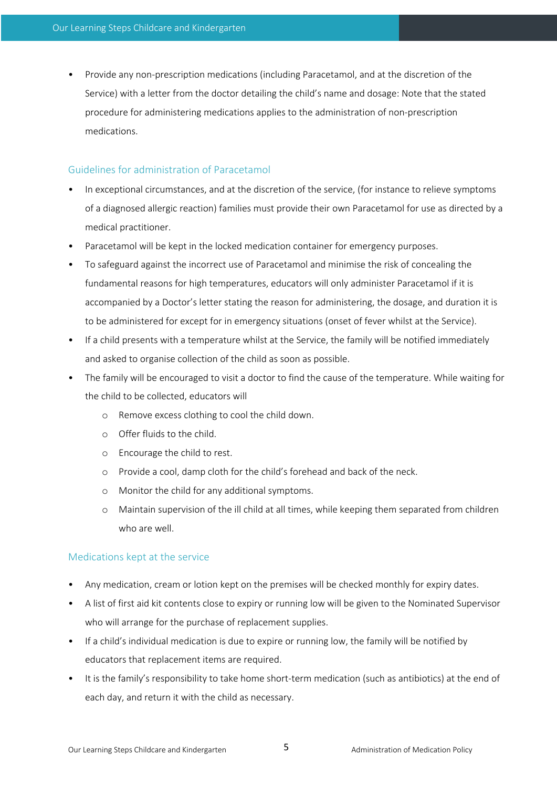• Provide any non-prescription medications (including Paracetamol, and at the discretion of the Service) with a letter from the doctor detailing the child's name and dosage: Note that the stated procedure for administering medications applies to the administration of non-prescription medications.

# Guidelines for administration of Paracetamol

- In exceptional circumstances, and at the discretion of the service, (for instance to relieve symptoms of a diagnosed allergic reaction) families must provide their own Paracetamol for use as directed by a medical practitioner.
- Paracetamol will be kept in the locked medication container for emergency purposes.
- To safeguard against the incorrect use of Paracetamol and minimise the risk of concealing the fundamental reasons for high temperatures, educators will only administer Paracetamol if it is accompanied by a Doctor's letter stating the reason for administering, the dosage, and duration it is to be administered for except for in emergency situations (onset of fever whilst at the Service).
- If a child presents with a temperature whilst at the Service, the family will be notified immediately and asked to organise collection of the child as soon as possible.
- The family will be encouraged to visit a doctor to find the cause of the temperature. While waiting for the child to be collected, educators will
	- o Remove excess clothing to cool the child down.
	- o Offer fluids to the child.
	- o Encourage the child to rest.
	- o Provide a cool, damp cloth for the child's forehead and back of the neck.
	- o Monitor the child for any additional symptoms.
	- o Maintain supervision of the ill child at all times, while keeping them separated from children who are well.

# Medications kept at the service

- Any medication, cream or lotion kept on the premises will be checked monthly for expiry dates.
- A list of first aid kit contents close to expiry or running low will be given to the Nominated Supervisor who will arrange for the purchase of replacement supplies.
- If a child's individual medication is due to expire or running low, the family will be notified by educators that replacement items are required.
- It is the family's responsibility to take home short-term medication (such as antibiotics) at the end of each day, and return it with the child as necessary.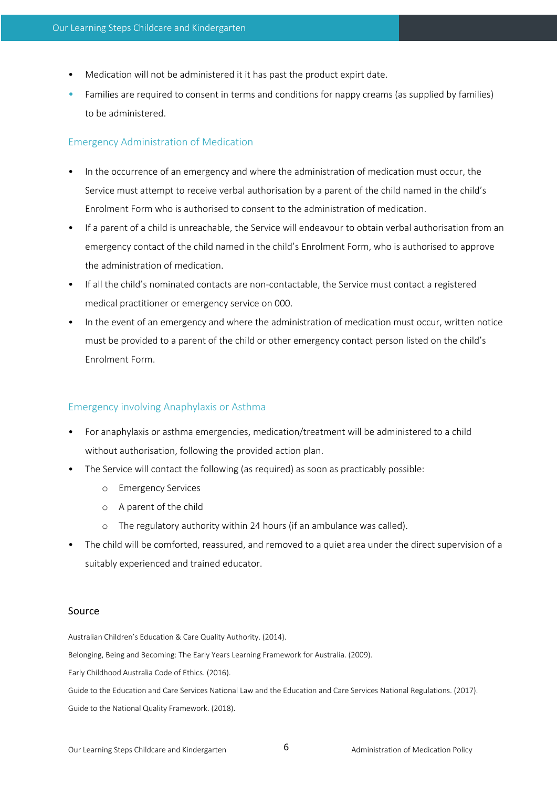- Medication will not be administered it it has past the product expirt date.
- Families are required to consent in terms and conditions for nappy creams (as supplied by families) to be administered.

# Emergency Administration of Medication

- In the occurrence of an emergency and where the administration of medication must occur, the Service must attempt to receive verbal authorisation by a parent of the child named in the child's Enrolment Form who is authorised to consent to the administration of medication.
- If a parent of a child is unreachable, the Service will endeavour to obtain verbal authorisation from an emergency contact of the child named in the child's Enrolment Form, who is authorised to approve the administration of medication.
- If all the child's nominated contacts are non-contactable, the Service must contact a registered medical practitioner or emergency service on 000.
- In the event of an emergency and where the administration of medication must occur, written notice must be provided to a parent of the child or other emergency contact person listed on the child's Enrolment Form.

# Emergency involving Anaphylaxis or Asthma

- For anaphylaxis or asthma emergencies, medication/treatment will be administered to a child without authorisation, following the provided action plan.
- The Service will contact the following (as required) as soon as practicably possible:
	- o Emergency Services
	- o A parent of the child
	- o The regulatory authority within 24 hours (if an ambulance was called).
- The child will be comforted, reassured, and removed to a quiet area under the direct supervision of a suitably experienced and trained educator.

#### Source

Australian Children's Education & Care Quality Authority. (2014).

Belonging, Being and Becoming: The Early Years Learning Framework for Australia. (2009).

Early Childhood Australia Code of Ethics. (2016).

Guide to the Education and Care Services National Law and the Education and Care Services National Regulations. (2017). Guide to the National Quality Framework. (2018).